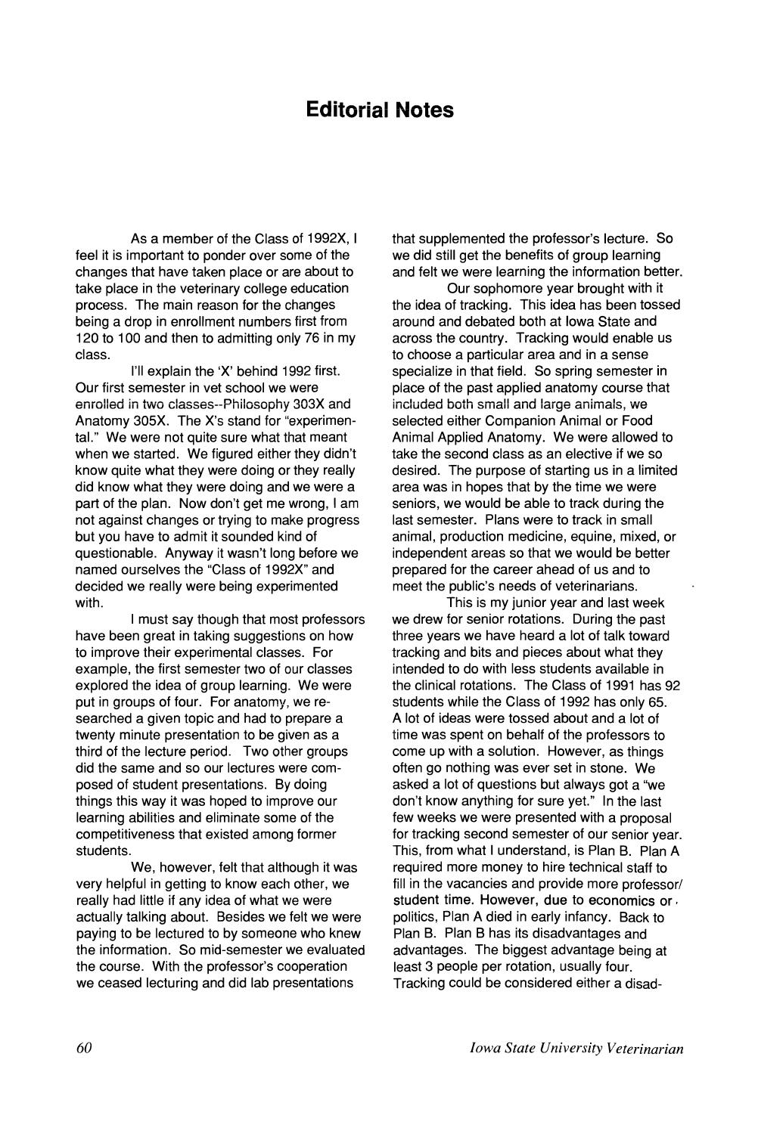## **Editorial Notes**

As a member of the Class of 1992X, I feel it is important to ponder over some of the changes that have taken place or are about to take place in the veterinary college education process. The main reason for the changes being a drop in enrollment numbers first from 120 to 100 and then to admitting only 76 in my class.

I'll explain the 'X' behind 1992 first. Our first semester in vet school we were enrolled in two classes--Philosophy 303X and Anatomy 305X. The X's stand for "experimental." We were not quite sure what that meant when we started. We figured either they didn't know quite what they were doing or they really did know what they were doing and we were a part of the plan. Now don't get me wrong, I am not against changes or trying to make progress but you have to admit it sounded kind of questionable. Anyway it wasn't long before we named ourselves the "Class of 1992X" and decided we really were being experimented with.

I must say though that most professors have been great in taking suggestions on how to improve their experimental classes. For example, the first semester two of our classes explored the idea of group learning. We were put in groups of four. For anatomy, we researched a given topic and had to prepare a twenty minute presentation to be given as a third of the lecture period. Two other groups did the same and so our lectures were composed of student presentations. By doing things this way it was hoped to improve our learning abilities and eliminate some of the competitiveness that existed among former students.

We, however, felt that although it was very helpful in getting to know each other, we really had little if any idea of what we were actually talking about. Besides we felt we were paying to be lectured to by someone who knew the information. So mid-semester we evaluated the course. With the professor's cooperation we ceased lecturing and did lab presentations

that supplemented the professor's lecture. So we did still get the benefits of group learning and felt we were learning the information better.

Our sophomore year brought with it the idea of tracking. This idea has been tossed around and debated both at Iowa State and across the country. Tracking would enable us to choose a particular area and in a sense specialize in that field. So spring semester in place of the past applied anatomy course that included both small and large animals, we selected either Companion Animal or Food Animal Applied Anatomy. We were allowed to take the second class as an elective if we so desired. The purpose of starting us in a limited area was in hopes that by the time we were seniors, we would be able to track during the last semester. Plans were to track in small animal, production medicine, equine, mixed, or independent areas so that we would be better prepared for the career ahead of us and to meet the public's needs of veterinarians.

This is my junior year and last week we drew for senior rotations. During the past three years we have heard a lot of talk toward tracking and bits and pieces about what they intended to do with less students available in the clinical rotations. The Class of 1991 has 92 students while the Class of 1992 has only 65. A lot of ideas were tossed about and a lot of time was spent on behalf of the professors to come up with a solution. However, as things often go nothing was ever set in stone. We asked a lot of questions but always got a "we don't know anything for sure yet." In the last few weeks we were presented with a proposal for tracking second semester of our senior year. This, from what I understand, is Plan B. Plan A required more money to hire technical staff to fill in the vacancies and provide more professor/ student time. However, due to economics or ' politics, Plan A died in early infancy. Back to Plan B. Plan B has its disadvantages and advantages. The biggest advantage being at least 3 people per rotation, usually four. Tracking could be considered either a disad